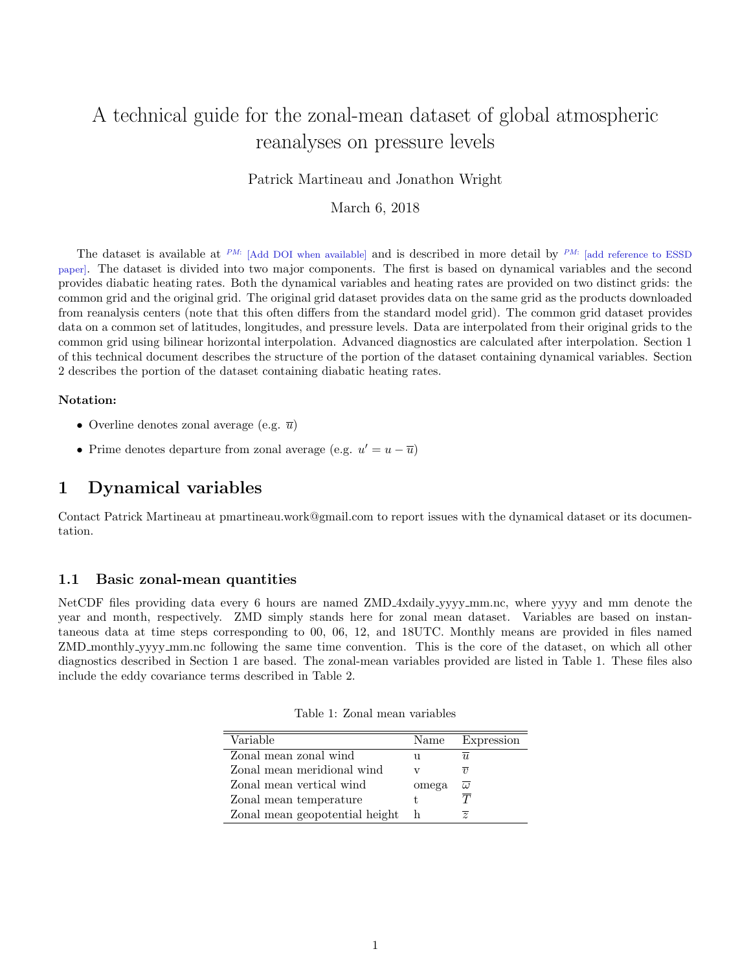# A technical guide for the zonal-mean dataset of global atmospheric reanalyses on pressure levels

Patrick Martineau and Jonathon Wright

March 6, 2018

The dataset is available at <sup>PM:</sup> [Add DOI when available] and is described in more detail by <sup>PM:</sup> [add reference to ESSD paper]. The dataset is divided into two major components. The first is based on dynamical variables and the second provides diabatic heating rates. Both the dynamical variables and heating rates are provided on two distinct grids: the common grid and the original grid. The original grid dataset provides data on the same grid as the products downloaded from reanalysis centers (note that this often differs from the standard model grid). The common grid dataset provides data on a common set of latitudes, longitudes, and pressure levels. Data are interpolated from their original grids to the common grid using bilinear horizontal interpolation. Advanced diagnostics are calculated after interpolation. Section 1 of this technical document describes the structure of the portion of the dataset containing dynamical variables. Section 2 describes the portion of the dataset containing diabatic heating rates.

#### Notation:

- Overline denotes zonal average (e.g.  $\overline{u}$ )
- Prime denotes departure from zonal average (e.g.  $u' = u \overline{u}$ )

### 1 Dynamical variables

Contact Patrick Martineau at pmartineau.work@gmail.com to report issues with the dynamical dataset or its documentation.

#### <span id="page-0-1"></span>1.1 Basic zonal-mean quantities

NetCDF files providing data every 6 hours are named ZMD 4xdaily yyyy mm.nc, where yyyy and mm denote the year and month, respectively. ZMD simply stands here for zonal mean dataset. Variables are based on instantaneous data at time steps corresponding to 00, 06, 12, and 18UTC. Monthly means are provided in files named ZMD monthly yyyy mm.nc following the same time convention. This is the core of the dataset, on which all other diagnostics described in Section 1 are based. The zonal-mean variables provided are listed in Table [1.](#page-0-0) These files also include the eddy covariance terms described in Table [2.](#page-1-0)

| Variable                       | Name  | Expression        |
|--------------------------------|-------|-------------------|
| Zonal mean zonal wind          |       | II.               |
| Zonal mean meridional wind     |       | $\eta$            |
| Zonal mean vertical wind       | omega | $\omega$          |
| Zonal mean temperature         |       | $\overline{\tau}$ |
| Zonal mean geopotential height | h     | $\overline{z}$    |

<span id="page-0-0"></span>Table 1: Zonal mean variables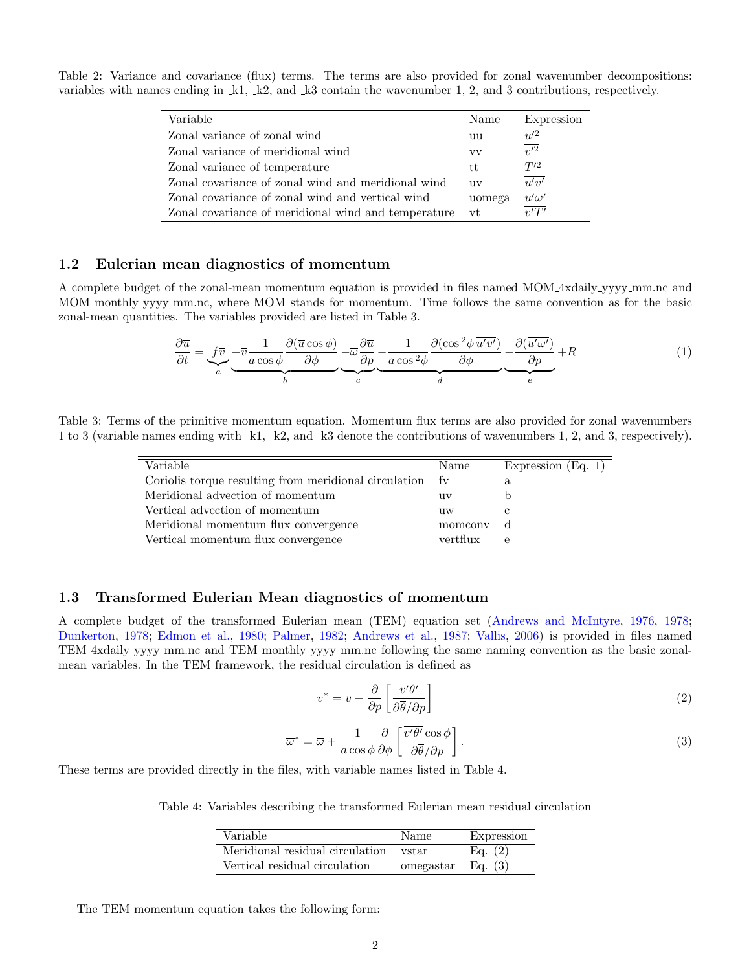<span id="page-1-0"></span>Table 2: Variance and covariance (flux) terms. The terms are also provided for zonal wavenumber decompositions: variables with names ending in k1, k2, and k3 contain the wavenumber 1, 2, and 3 contributions, respectively.

| Variable                                            | Name   | Expression              |
|-----------------------------------------------------|--------|-------------------------|
| Zonal variance of zonal wind                        | uu     | $u^{\prime 2}$          |
| Zonal variance of meridional wind                   | VV     | $\overline{v'^2}$       |
| Zonal variance of temperature                       | tt     | $\overline{T'^2}$       |
| Zonal covariance of zonal wind and meridional wind  | 11V    | $\overline{u'v'}$       |
| Zonal covariance of zonal wind and vertical wind    | uomega | $\overline{u' \omega'}$ |
| Zonal covariance of meridional wind and temperature | vt     | $\overline{v'T'}$       |

#### 1.2 Eulerian mean diagnostics of momentum

A complete budget of the zonal-mean momentum equation is provided in files named MOM 4xdaily yyyy mm.nc and MOM monthly yyyy mm.nc, where MOM stands for momentum. Time follows the same convention as for the basic zonal-mean quantities. The variables provided are listed in Table [3.](#page-1-1)

<span id="page-1-2"></span>
$$
\frac{\partial \overline{u}}{\partial t} = \underbrace{f\overline{v}}_{a} - \underbrace{\overline{v}\frac{1}{a\cos\phi} \frac{\partial(\overline{u}\cos\phi)}{\partial\phi}}_{b} - \underbrace{\overline{\omega}\frac{\partial \overline{u}}{\partial p}}_{c} - \underbrace{\frac{1}{a\cos^2\phi} \frac{\partial(\cos^2\phi \overline{u'v'})}{\partial\phi}}_{d} - \underbrace{\frac{\partial(\overline{u'w'})}{\partial p}}_{e} + R
$$
\n(1)

<span id="page-1-1"></span>Table 3: Terms of the primitive momentum equation. Momentum flux terms are also provided for zonal wavenumbers 1 to 3 (variable names ending with k1, k2, and k3 denote the contributions of wavenumbers 1, 2, and 3, respectively).

| Expression $(Eq. 1)$ |
|----------------------|
|                      |
|                      |
|                      |
|                      |
|                      |
|                      |

#### 1.3 Transformed Eulerian Mean diagnostics of momentum

A complete budget of the transformed Eulerian mean (TEM) equation set [\(Andrews and McIntyre,](#page-7-0) [1976,](#page-7-0) [1978;](#page-7-1) [Dunkerton,](#page-7-2) [1978;](#page-7-2) [Edmon et al.,](#page-7-3) [1980;](#page-7-3) [Palmer,](#page-7-4) [1982;](#page-7-4) [Andrews et al.,](#page-7-5) [1987;](#page-7-5) [Vallis,](#page-7-6) [2006\)](#page-7-6) is provided in files named TEM 4xdaily yyyy mm.nc and TEM monthly yyyy mm.nc following the same naming convention as the basic zonalmean variables. In the TEM framework, the residual circulation is defined as

<span id="page-1-4"></span>
$$
\overline{v}^* = \overline{v} - \frac{\partial}{\partial p} \left[ \frac{\overline{v'\theta'}}{\partial \overline{\theta}/\partial p} \right]
$$
 (2)

<span id="page-1-5"></span>
$$
\overline{\omega}^* = \overline{\omega} + \frac{1}{a \cos \phi} \frac{\partial}{\partial \phi} \left[ \frac{\overline{v'\theta'} \cos \phi}{\partial \overline{\theta} / \partial p} \right].
$$
 (3)

These terms are provided directly in the files, with variable names listed in Table [4.](#page-1-3)

Table 4: Variables describing the transformed Eulerian mean residual circulation

<span id="page-1-3"></span>

| Variable                        | Name      | Expression |
|---------------------------------|-----------|------------|
| Meridional residual circulation | vstar     | Eq. $(2)$  |
| Vertical residual circulation   | omegastar | Eq. $(3)$  |

The TEM momentum equation takes the following form: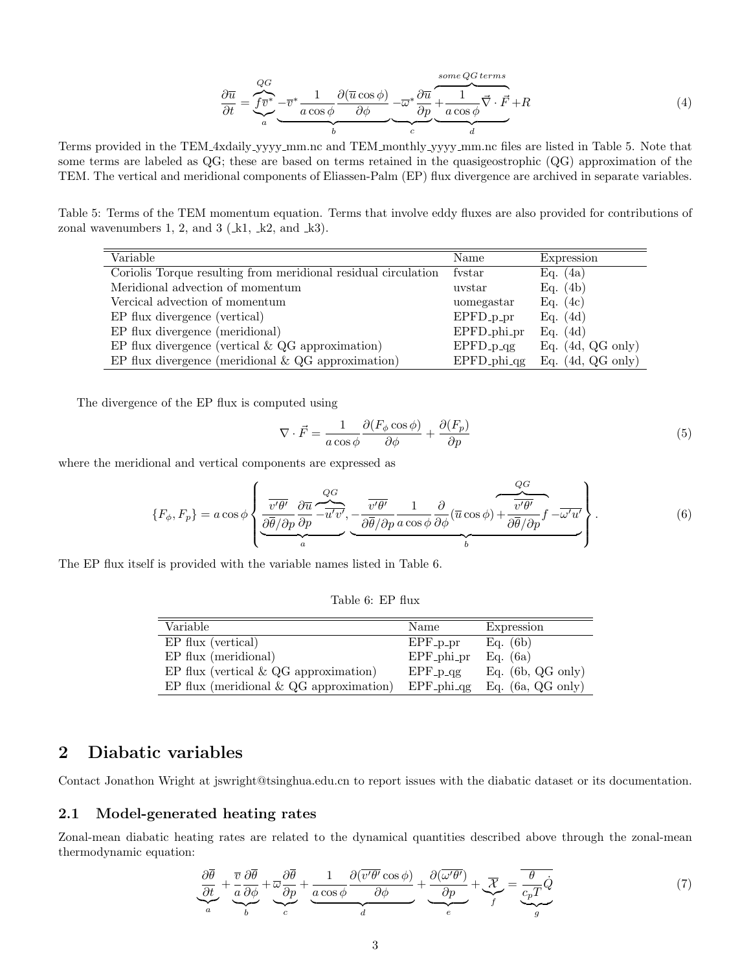<span id="page-2-1"></span>
$$
\frac{\partial \overline{u}}{\partial t} = \underbrace{\underbrace{\overbrace{f \overline{v}}^*}_{a} - \overline{v}^*}_{b} \underbrace{\frac{1}{a \cos \phi} \frac{\partial (\overline{u} \cos \phi)}{\partial \phi}}_{b} - \underbrace{\overline{\omega}^* \frac{\partial \overline{u}}{\partial p}}_{c} \underbrace{\frac{\overbrace{1}}{1} \frac{1}{a \cos \phi} \overline{\vec{v}} \cdot \vec{F}}_{d} + R \tag{4}
$$

Terms provided in the TEM 4xdaily yyyy mm.nc and TEM monthly yyyy mm.nc files are listed in Table [5.](#page-2-0) Note that some terms are labeled as QG; these are based on terms retained in the quasigeostrophic (QG) approximation of the TEM. The vertical and meridional components of Eliassen-Palm (EP) flux divergence are archived in separate variables.

Table 5: Terms of the TEM momentum equation. Terms that involve eddy fluxes are also provided for contributions of zonal wavenumbers 1, 2, and 3 ( $\pm 1$ ,  $\pm 2$ , and  $\pm 3$ ).

<span id="page-2-0"></span>

| Variable                                                       | Name                       | Expression                  |
|----------------------------------------------------------------|----------------------------|-----------------------------|
| Coriolis Torque resulting from meridional residual circulation | fystar                     | Eq. $(4a)$                  |
| Meridional advection of momentum                               | uvstar                     | Eq. $(4b)$                  |
| Vercical advection of momentum                                 | uomegastar                 | Eq. $(4c)$                  |
| EP flux divergence (vertical)                                  | $EPPFD_pr$                 | Eq. $(4d)$                  |
| EP flux divergence (meridional)                                | EPFD <sub>-phi-pr</sub>    | Eq. $(4d)$                  |
| EP flux divergence (vertical $\&$ QG approximation)            | $EPP$ $-p$ $-qg$           | Eq. $(4d, QG \text{ only})$ |
| EP flux divergence (meridional $\&$ QG approximation)          | $EPPD_1$ <sub>phi-qg</sub> | Eq. $(4d, QG \text{ only})$ |

The divergence of the EP flux is computed using

$$
\nabla \cdot \vec{F} = \frac{1}{a \cos \phi} \frac{\partial (F_{\phi} \cos \phi)}{\partial \phi} + \frac{\partial (F_p)}{\partial p} \tag{5}
$$

where the meridional and vertical components are expressed as

<span id="page-2-3"></span>
$$
\{F_{\phi}, F_{p}\} = a \cos \phi \left\{ \underbrace{\frac{\overline{v'\theta'}}{\partial \overline{\theta}/\partial p} \frac{\partial \overline{u}}{\partial p} - \overline{u'v'}}_{a} - \underbrace{\frac{\overline{v'\theta'}}{\partial \overline{\theta}/\partial p} \frac{1}{a \cos \phi} \frac{\partial}{\partial \phi} (\overline{u} \cos \phi) + \overline{\frac{\overline{v'\theta'}}{\partial \overline{\theta}/\partial p}} f - \overline{\omega'u'} \right\}.
$$
\n(6)

The EP flux itself is provided with the variable names listed in Table [6.](#page-2-2)

<span id="page-2-2"></span>Table 6: EP flux

| Variable                                   | Name                           | Expression                  |
|--------------------------------------------|--------------------------------|-----------------------------|
| EP flux (vertical)                         | $EPF\_p\_pr$                   | Eq. $(6b)$                  |
| $EP$ flux (meridional)                     | $EPF_{{\rm -}phi_{{\rm -}pr}}$ | Eq. $(6a)$                  |
| EP flux (vertical $\&$ QG approximation)   | $EPF_p_{\text{qg}}$            | Eq. $(6b, QG \text{ only})$ |
| EP flux (meridional $\&$ QG approximation) | $EPF_{{\rm phi}, {qg}}$        | Eq. $(6a, QG \text{ only})$ |

### 2 Diabatic variables

Contact Jonathon Wright at jswright@tsinghua.edu.cn to report issues with the diabatic dataset or its documentation.

#### 2.1 Model-generated heating rates

Zonal-mean diabatic heating rates are related to the dynamical quantities described above through the zonal-mean thermodynamic equation:

<span id="page-2-4"></span>
$$
\underbrace{\frac{\partial \overline{\theta}}{\partial t}}_{a} + \underbrace{\frac{\overline{v}}{a} \frac{\partial \overline{\theta}}{\partial \phi}}_{b} + \underbrace{\frac{\partial \overline{\theta}}{\partial p}}_{c} + \underbrace{\frac{1}{a \cos \phi} \frac{\partial (\overline{v'\theta'} \cos \phi)}{\partial \phi}}_{d} + \underbrace{\frac{\partial (\overline{\omega'\theta'})}{\partial p}}_{e} + \underbrace{\overline{\mathcal{X}}}_{f} = \underbrace{\overline{\theta \overline{c}_{p} T \dot{Q}}}_{g}
$$
(7)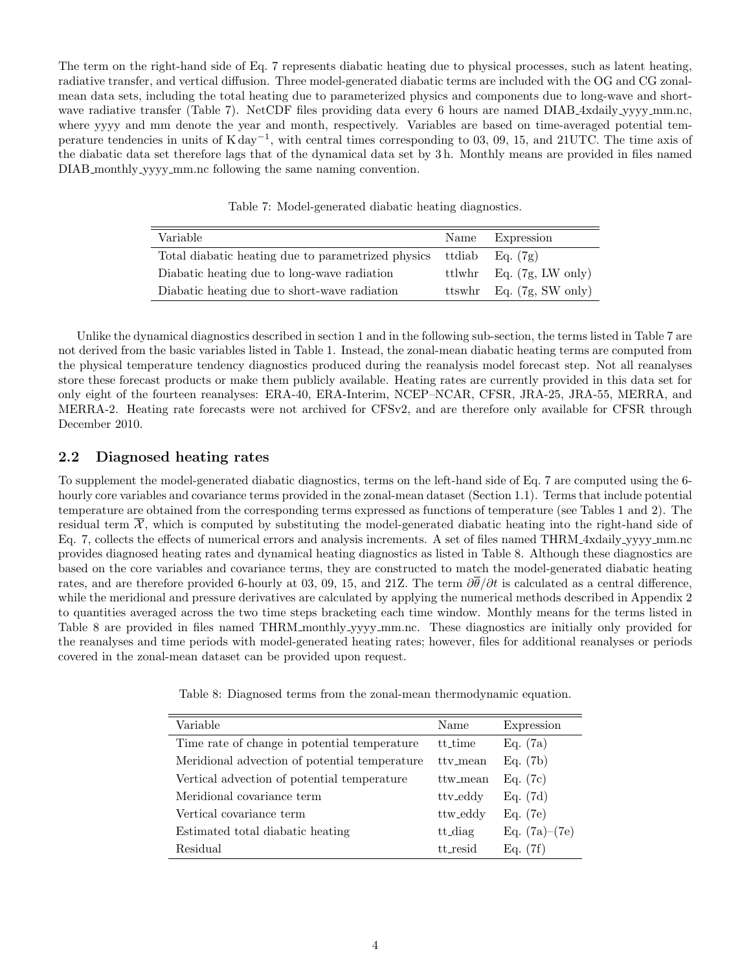The term on the right-hand side of Eq. [7](#page-2-4) represents diabatic heating due to physical processes, such as latent heating, radiative transfer, and vertical diffusion. Three model-generated diabatic terms are included with the OG and CG zonalmean data sets, including the total heating due to parameterized physics and components due to long-wave and short-wave radiative transfer (Table [7\)](#page-3-0). NetCDF files providing data every 6 hours are named DIAB 4xdaily yyyy mm.nc, where yyyy and mm denote the year and month, respectively. Variables are based on time-averaged potential temperature tendencies in units of  $K day^{-1}$ , with central times corresponding to 03, 09, 15, and 21UTC. The time axis of the diabatic data set therefore lags that of the dynamical data set by 3 h. Monthly means are provided in files named DIAB monthly yyyy mm.nc following the same naming convention.

<span id="page-3-0"></span>

| Variable                                           | Name      | Expression                         |
|----------------------------------------------------|-----------|------------------------------------|
| Total diabatic heating due to parametrized physics | ttdiab    | Eq. (7g)                           |
| Diabatic heating due to long-wave radiation        |           | ttlwhr Eq. $(7g, LW \text{ only})$ |
| Diabatic heating due to short-wave radiation       | $t$ tswhr | Eq. $(7g, SW only)$                |

Unlike the dynamical diagnostics described in section 1 and in the following sub-section, the terms listed in Table [7](#page-3-0) are not derived from the basic variables listed in Table [1.](#page-0-0) Instead, the zonal-mean diabatic heating terms are computed from the physical temperature tendency diagnostics produced during the reanalysis model forecast step. Not all reanalyses store these forecast products or make them publicly available. Heating rates are currently provided in this data set for only eight of the fourteen reanalyses: ERA-40, ERA-Interim, NCEP–NCAR, CFSR, JRA-25, JRA-55, MERRA, and MERRA-2. Heating rate forecasts were not archived for CFSv2, and are therefore only available for CFSR through December 2010.

#### 2.2 Diagnosed heating rates

To supplement the model-generated diabatic diagnostics, terms on the left-hand side of Eq. [7](#page-2-4) are computed using the 6 hourly core variables and covariance terms provided in the zonal-mean dataset (Section [1.1\)](#page-0-1). Terms that include potential temperature are obtained from the corresponding terms expressed as functions of temperature (see Tables [1](#page-0-0) and [2\)](#page-1-0). The residual term  $\overline{\mathcal{X}}$ , which is computed by substituting the model-generated diabatic heating into the right-hand side of Eq. [7,](#page-2-4) collects the effects of numerical errors and analysis increments. A set of files named THRM 4xdaily yyyy mm.nc provides diagnosed heating rates and dynamical heating diagnostics as listed in Table [8.](#page-3-1) Although these diagnostics are based on the core variables and covariance terms, they are constructed to match the model-generated diabatic heating rates, and are therefore provided 6-hourly at 03, 09, 15, and 21Z. The term  $\partial \overline{\theta}/\partial t$  is calculated as a central difference, while the meridional and pressure derivatives are calculated by applying the numerical methods described in Appendix 2 to quantities averaged across the two time steps bracketing each time window. Monthly means for the terms listed in Table [8](#page-3-1) are provided in files named THRM monthly yyyy mm.nc. These diagnostics are initially only provided for the reanalyses and time periods with model-generated heating rates; however, files for additional reanalyses or periods covered in the zonal-mean dataset can be provided upon request.

<span id="page-3-1"></span>Table 8: Diagnosed terms from the zonal-mean thermodynamic equation.

| Variable                                      | Name     | Expression      |
|-----------------------------------------------|----------|-----------------|
| Time rate of change in potential temperature  | tt_time  | Eq. (7a)        |
| Meridional advection of potential temperature | tty_mean | Eq. (7b)        |
| Vertical advection of potential temperature   | ttw_mean | Eq. (7c)        |
| Meridional covariance term                    | ttv_eddy | Eq. (7d)        |
| Vertical covariance term                      | ttw_eddy | Eq. (7e)        |
| Estimated total diabatic heating              | tt_diag  | Eq. $(7a)-(7e)$ |
| Residual                                      | tt resid | Eq. (7f)        |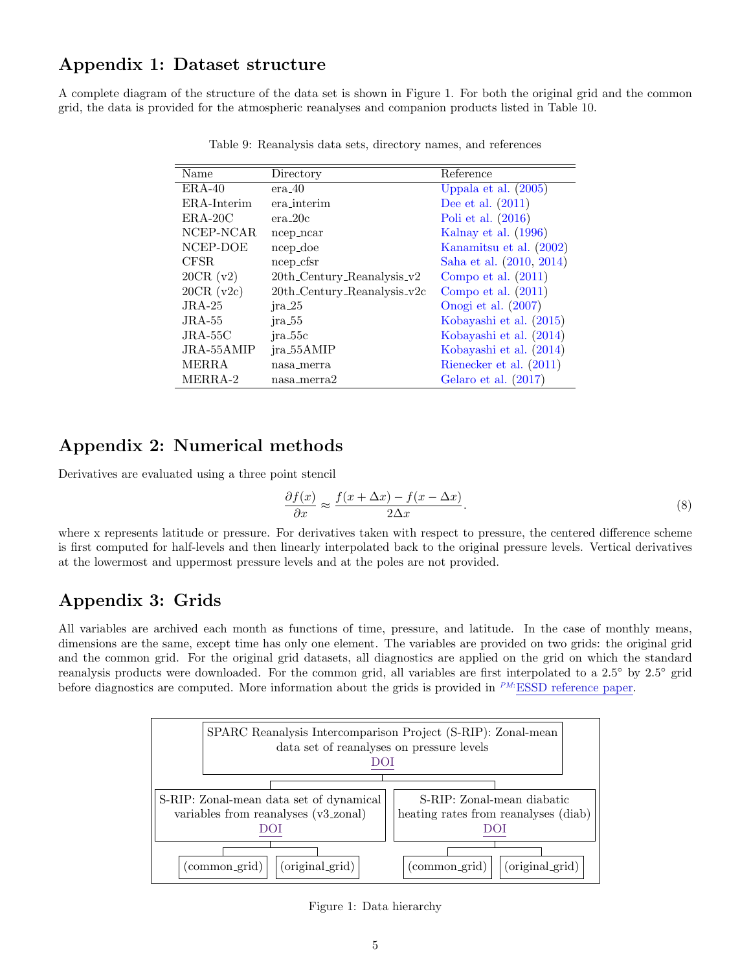# Appendix 1: Dataset structure

A complete diagram of the structure of the data set is shown in Figure 1. For both the original grid and the common grid, the data is provided for the atmospheric reanalyses and companion products listed in Table [10.](#page-6-0)

| Name             | Directory                        | Reference                |
|------------------|----------------------------------|--------------------------|
| $ERA-40$         | era.40                           | Uppala et al. (2005)     |
| ERA-Interim      | era interim                      | Dee et al. $(2011)$      |
| $ERA-20C$        | $era_20c$                        | Poli et al. $(2016)$     |
| NCEP-NCAR        | ncep_ncar                        | Kalnay et al. $(1996)$   |
| NCEP-DOE         | ncep_doe                         | Kanamitsu et al. (2002)  |
| CFSR.            | ncep_cfsr                        | Saha et al. (2010, 2014) |
| 20CR (v2)        | $20th$ -Century-Reanalysis- $v2$ | Compo et al. $(2011)$    |
| $20CR$ ( $v2c$ ) | $20th$ -Century-Reanalysis-v2c   | Compo et al. $(2011)$    |
| $JRA-25$         | $jra_225$                        | Onogi et al. $(2007)$    |
| $JRA-55$         | $jra_55$                         | Kobayashi et al. (2015)  |
| $JRA-55C$        | ira_55c                          | Kobayashi et al. (2014)  |
| JRA-55AMIP       | jra_55AMIP                       | Kobayashi et al. (2014)  |
| MERRA            | nasa_merra                       | Rienecker et al. (2011)  |
| MERRA-2          | nasa_merra2                      | Gelaro et al. (2017)     |

Table 9: Reanalysis data sets, directory names, and references

# Appendix 2: Numerical methods

Derivatives are evaluated using a three point stencil

$$
\frac{\partial f(x)}{\partial x} \approx \frac{f(x + \Delta x) - f(x - \Delta x)}{2\Delta x}.
$$
\n(8)

where x represents latitude or pressure. For derivatives taken with respect to pressure, the centered difference scheme is first computed for half-levels and then linearly interpolated back to the original pressure levels. Vertical derivatives at the lowermost and uppermost pressure levels and at the poles are not provided.

# Appendix 3: Grids

All variables are archived each month as functions of time, pressure, and latitude. In the case of monthly means, dimensions are the same, except time has only one element. The variables are provided on two grids: the original grid and the common grid. For the original grid datasets, all diagnostics are applied on the grid on which the standard reanalysis products were downloaded. For the common grid, all variables are first interpolated to a 2.5◦ by 2.5◦ grid before diagnostics are computed. More information about the grids is provided in  $P^M$ :ESSD reference paper.



Figure 1: Data hierarchy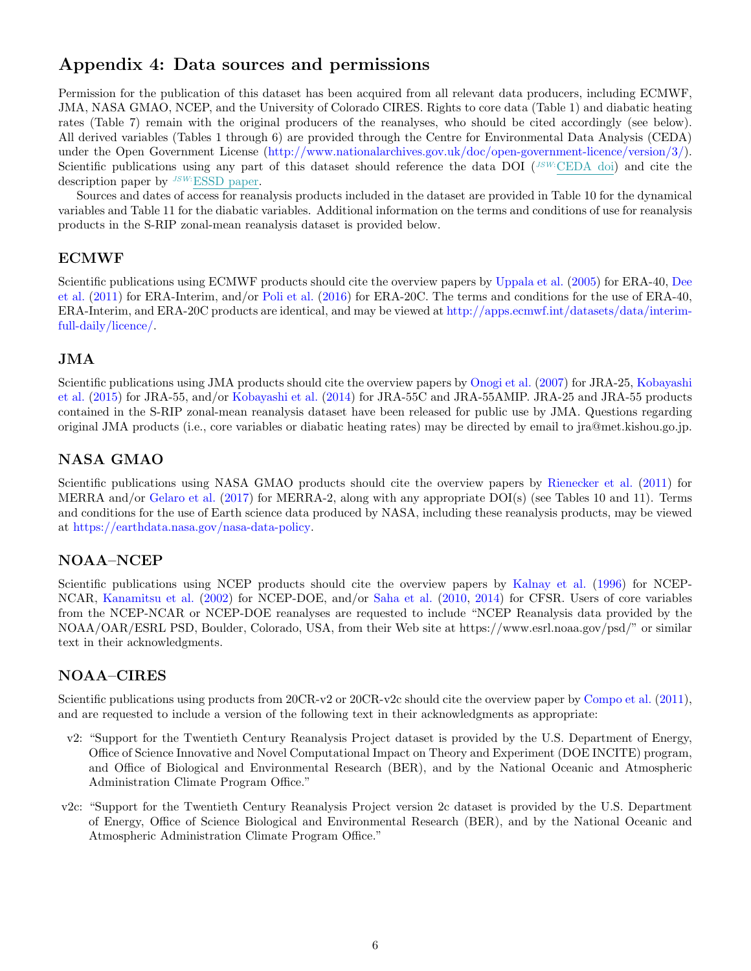# Appendix 4: Data sources and permissions

Permission for the publication of this dataset has been acquired from all relevant data producers, including ECMWF, JMA, NASA GMAO, NCEP, and the University of Colorado CIRES. Rights to core data (Table [1\)](#page-0-0) and diabatic heating rates (Table [7\)](#page-3-0) remain with the original producers of the reanalyses, who should be cited accordingly (see below). All derived variables (Tables [1](#page-0-0) through [6\)](#page-2-2) are provided through the Centre for Environmental Data Analysis (CEDA) under the Open Government License [\(http://www.nationalarchives.gov.uk/doc/open-government-licence/version/3/\)](http://www.nationalarchives.gov.uk/doc/open-government-licence/version/3/). Scientific publications using any part of this dataset should reference the data DOI  $(^{JSW:CEDA}$  doi) and cite the description paper by <sup>JSW:</sup>ESSD paper.

Sources and dates of access for reanalysis products included in the dataset are provided in Table [10](#page-6-0) for the dynamical variables and Table [11](#page-6-1) for the diabatic variables. Additional information on the terms and conditions of use for reanalysis products in the S-RIP zonal-mean reanalysis dataset is provided below.

### ECMWF

Scientific publications using ECMWF products should cite the overview papers by [Uppala et al.](#page-7-7) [\(2005\)](#page-7-7) for ERA-40, [Dee](#page-7-8) [et al.](#page-7-8) [\(2011\)](#page-7-8) for ERA-Interim, and/or [Poli et al.](#page-7-9) [\(2016\)](#page-7-9) for ERA-20C. The terms and conditions for the use of ERA-40, ERA-Interim, and ERA-20C products are identical, and may be viewed at [http://apps.ecmwf.int/datasets/data/interim](http://apps.ecmwf.int/datasets/data/interim-full-daily/licence/)[full-daily/licence/.](http://apps.ecmwf.int/datasets/data/interim-full-daily/licence/)

#### JMA

Scientific publications using JMA products should cite the overview papers by [Onogi et al.](#page-7-15) [\(2007\)](#page-7-15) for JRA-25, [Kobayashi](#page-7-16) [et al.](#page-7-16) [\(2015\)](#page-7-16) for JRA-55, and/or [Kobayashi et al.](#page-7-17) [\(2014\)](#page-7-17) for JRA-55C and JRA-55AMIP. JRA-25 and JRA-55 products contained in the S-RIP zonal-mean reanalysis dataset have been released for public use by JMA. Questions regarding original JMA products (i.e., core variables or diabatic heating rates) may be directed by email to jra@met.kishou.go.jp.

# NASA GMAO

Scientific publications using NASA GMAO products should cite the overview papers by [Rienecker et al.](#page-7-18) [\(2011\)](#page-7-18) for MERRA and/or [Gelaro et al.](#page-7-19) [\(2017\)](#page-7-19) for MERRA-2, along with any appropriate DOI(s) (see Tables [10](#page-6-0) and [11\)](#page-6-1). Terms and conditions for the use of Earth science data produced by NASA, including these reanalysis products, may be viewed at [https://earthdata.nasa.gov/nasa-data-policy.](https://earthdata.nasa.gov/nasa-data-policy)

# NOAA–NCEP

Scientific publications using NCEP products should cite the overview papers by [Kalnay et al.](#page-7-10) [\(1996\)](#page-7-10) for NCEP-NCAR, [Kanamitsu et al.](#page-7-11) [\(2002\)](#page-7-11) for NCEP-DOE, and/or [Saha et al.](#page-7-12) [\(2010,](#page-7-12) [2014\)](#page-7-13) for CFSR. Users of core variables from the NCEP-NCAR or NCEP-DOE reanalyses are requested to include "NCEP Reanalysis data provided by the NOAA/OAR/ESRL PSD, Boulder, Colorado, USA, from their Web site at https://www.esrl.noaa.gov/psd/" or similar text in their acknowledgments.

### NOAA–CIRES

Scientific publications using products from 20CR-v2 or 20CR-v2c should cite the overview paper by [Compo et al.](#page-7-14) [\(2011\)](#page-7-14), and are requested to include a version of the following text in their acknowledgments as appropriate:

- v2: "Support for the Twentieth Century Reanalysis Project dataset is provided by the U.S. Department of Energy, Office of Science Innovative and Novel Computational Impact on Theory and Experiment (DOE INCITE) program, and Office of Biological and Environmental Research (BER), and by the National Oceanic and Atmospheric Administration Climate Program Office."
- v2c: "Support for the Twentieth Century Reanalysis Project version 2c dataset is provided by the U.S. Department of Energy, Office of Science Biological and Environmental Research (BER), and by the National Oceanic and Atmospheric Administration Climate Program Office."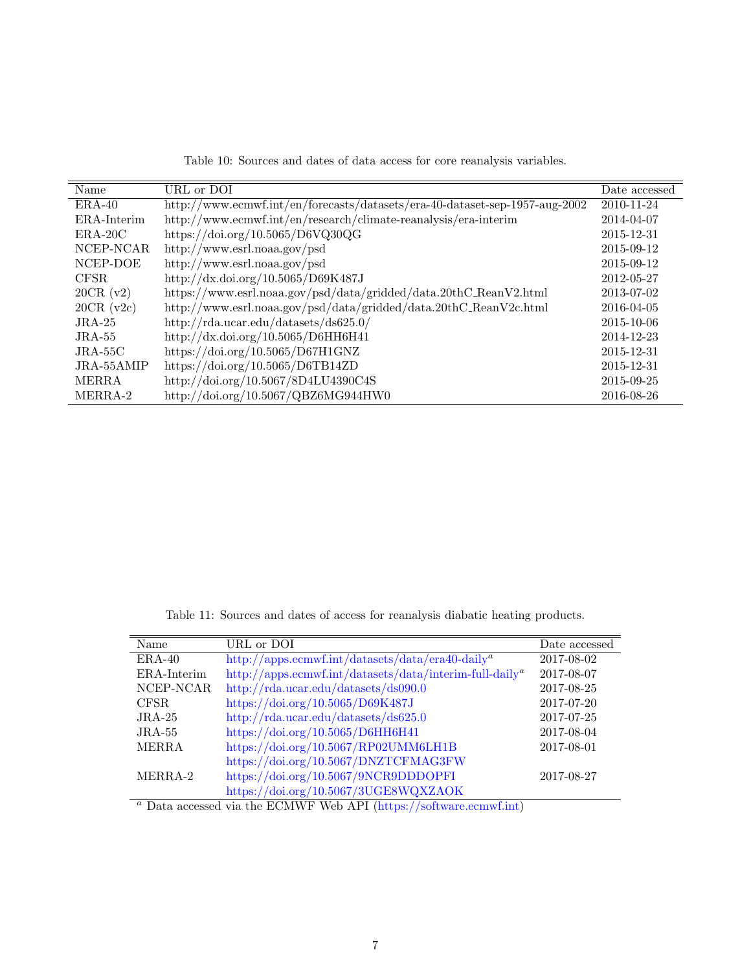<span id="page-6-0"></span>

| Table 10: Sources and dates of data access for core reanalysis variables. |
|---------------------------------------------------------------------------|
|---------------------------------------------------------------------------|

| Name         | URL or DOI                                                                  | Date accessed |
|--------------|-----------------------------------------------------------------------------|---------------|
| $ERA-40$     | http://www.ecmwf.int/en/forecasts/datasets/era-40-dataset-sep-1957-aug-2002 | 2010-11-24    |
| ERA-Interim  | http://www.ecmwf.int/en/research/climate-reanalysis/era-interim             | 2014-04-07    |
| $ERA-20C$    | https://doi.org/10.5065/D6VQ30QG                                            | 2015-12-31    |
| NCEP-NCAR    | http://www.esrl.noaa.gov/psd                                                | 2015-09-12    |
| NCEP-DOE     | http://www.esrl.noaa.gov/psd                                                | 2015-09-12    |
| CFSR.        | http://dx.doi.org/10.5065/D69K487J                                          | 2012-05-27    |
| 20CR (v2)    | https://www.esrl.noaa.gov/psd/data/gridded/data.20thC_ReanV2.html           | 2013-07-02    |
| $20CR$ (v2c) | http://www.esrl.noaa.gov/psd/data/gridded/data.20thC_ReanV2c.html           | 2016-04-05    |
| $JRA-25$     | http://rda.ucar.edu/datasets/ds625.0/                                       | 2015-10-06    |
| $JRA-55$     | http://dx.doi.org/10.5065/D6HH6H41                                          | 2014-12-23    |
| $JRA-55C$    | https://doi.org/10.5065/D67H1GNZ                                            | 2015-12-31    |
| $JRA-55AMIP$ | https://doi.org/10.5065/D6TB14ZD                                            | 2015-12-31    |
| <b>MERRA</b> | http://doi.org/10.5067/8D4LU4390C4S                                         | 2015-09-25    |
| MERRA-2      | http://doi.org/10.5067/QBZ6MG944HW0                                         | 2016-08-26    |

<span id="page-6-1"></span>

|  |  |  | Table 11: Sources and dates of access for reanalysis diabatic heating products. |  |  |
|--|--|--|---------------------------------------------------------------------------------|--|--|
|  |  |  |                                                                                 |  |  |

| Name                                                                 | URL or DOI                                                                          | Date accessed |  |  |  |  |
|----------------------------------------------------------------------|-------------------------------------------------------------------------------------|---------------|--|--|--|--|
| $ERA-40$                                                             | $\frac{http://apps.ecmwf.int/datasets/data/era40-daily^a}{$                         | 2017-08-02    |  |  |  |  |
| ERA-Interim                                                          | $\text{http://apps.ecmwf.int/datasets/data/interim-full-dailya}$                    | 2017-08-07    |  |  |  |  |
| NCEP-NCAR                                                            | http://rda.ucar.edu/datasets/ds090.0                                                | 2017-08-25    |  |  |  |  |
| CFSR.                                                                | https://doi.org/10.5065/D69K487J                                                    | 2017-07-20    |  |  |  |  |
| $JRA-25$                                                             | $\frac{http://rda.ucar.edu/datasets/ds625.0}{http://rda.ucar.edu/datasets/ds625.0}$ | 2017-07-25    |  |  |  |  |
| $JRA-55$                                                             | https://doi.org/10.5065/D6HH6H41                                                    | 2017-08-04    |  |  |  |  |
| <b>MERRA</b>                                                         | https://doi.org/10.5067/RP02UMM6LH1B                                                | 2017-08-01    |  |  |  |  |
|                                                                      | https://doi.org/10.5067/DNZTCFMAG3FW                                                |               |  |  |  |  |
| MERRA-2                                                              | https://doi.org/10.5067/9NCR9DDDOPFI                                                | 2017-08-27    |  |  |  |  |
|                                                                      | https://doi.org/10.5067/3UGE8WQXZAOK                                                |               |  |  |  |  |
| $a$ Data accessed via the ECMWF Web API (https://software.ecmwf.int) |                                                                                     |               |  |  |  |  |